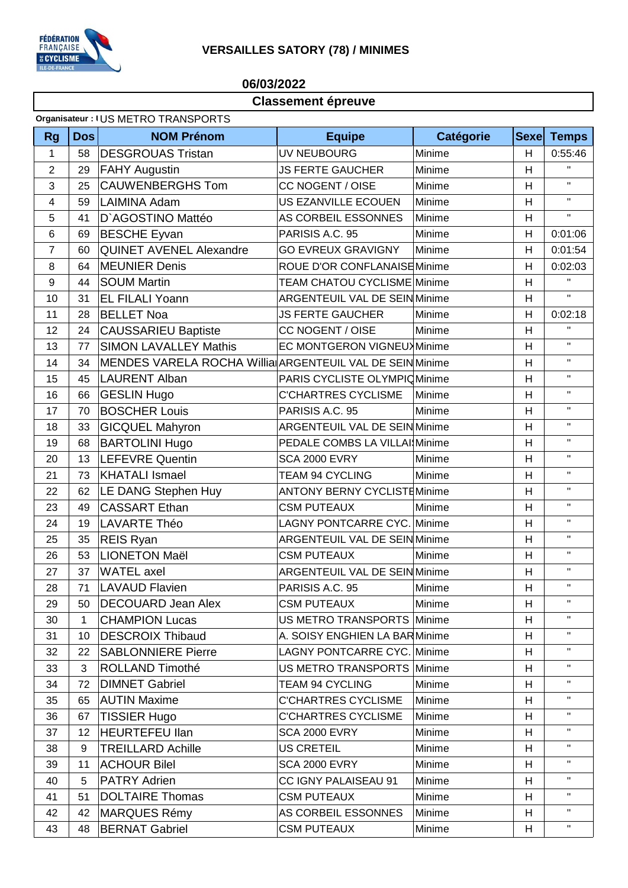

## **VERSAILLES SATORY (78) / MINIMES**

## 06/03/2022

## Classement épreuve

## Organisateur : IUS METRO TRANSPORTS

| <b>Rg</b>      | <b>Dos</b> | <b>NOM Prénom</b>                                        | <b>Equipe</b>                        | <b>Catégorie</b> | <b>Sexe</b> | <b>Temps</b> |
|----------------|------------|----------------------------------------------------------|--------------------------------------|------------------|-------------|--------------|
| 1              | 58         | <b>DESGROUAS Tristan</b>                                 | UV NEUBOURG                          | Minime           | H           | 0:55:46      |
| $\overline{2}$ | 29         | <b>FAHY Augustin</b>                                     | <b>JS FERTE GAUCHER</b><br>Minime    |                  | Н           | $\mathbf{H}$ |
| 3              | 25         | <b>CAUWENBERGHS Tom</b>                                  | CC NOGENT / OISE                     | Minime           | H           | $\mathbf{H}$ |
| 4              | 59         | <b>LAIMINA Adam</b>                                      | US EZANVILLE ECOUEN                  | Minime           | H           | $\mathbf{H}$ |
| 5              | 41         | D'AGOSTINO Mattéo                                        | AS CORBEIL ESSONNES                  | Minime           | H           | $\mathbf{H}$ |
| $\,6$          | 69         | <b>BESCHE Eyvan</b>                                      | PARISIS A.C. 95                      | Minime           | H           | 0:01:06      |
| $\overline{7}$ | 60         | <b>QUINET AVENEL Alexandre</b>                           | <b>GO EVREUX GRAVIGNY</b>            | Minime           | H           | 0:01:54      |
| 8              | 64         | <b>MEUNIER Denis</b>                                     | ROUE D'OR CONFLANAISEMinime          |                  | H           | 0:02:03      |
| 9              | 44         | <b>SOUM Martin</b>                                       | TEAM CHATOU CYCLISME Minime          |                  | H           | $\mathbf{H}$ |
| 10             | 31         | <b>EL FILALI Yoann</b>                                   | <b>ARGENTEUIL VAL DE SEIN Minime</b> |                  | H           | $\mathbf{H}$ |
| 11             | 28         | <b>BELLET Noa</b>                                        | <b>JS FERTE GAUCHER</b>              | Minime           | Н           | 0:02:18      |
| 12             | 24         | <b>CAUSSARIEU Baptiste</b>                               | CC NOGENT / OISE                     | Minime           | H           | $\mathbf{H}$ |
| 13             | 77         | <b>SIMON LAVALLEY Mathis</b>                             | EC MONTGERON VIGNEUX Minime          |                  | H           | $\mathbf{H}$ |
| 14             | 34         | MENDES VARELA ROCHA Willia ARGENTEUIL VAL DE SEIN Minime |                                      |                  | H           | $\mathbf{H}$ |
| 15             | 45         | <b>LAURENT Alban</b>                                     | PARIS CYCLISTE OLYMPIC Minime        |                  | H           | $\mathbf{H}$ |
| 16             | 66         | <b>GESLIN Hugo</b>                                       | <b>C'CHARTRES CYCLISME</b>           | Minime           | H           | $\mathbf{H}$ |
| 17             | 70         | <b>BOSCHER Louis</b>                                     | PARISIS A.C. 95                      | Minime           | H           | $\mathbf{H}$ |
| 18             | 33         | <b>GICQUEL Mahyron</b>                                   | <b>ARGENTEUIL VAL DE SEIN Minime</b> |                  | H           | $\mathbf{H}$ |
| 19             | 68         | <b>BARTOLINI Hugo</b>                                    | PEDALE COMBS LA VILLAI Minime        |                  | H           | $\mathbf{H}$ |
| 20             | 13         | <b>LEFEVRE Quentin</b>                                   | <b>SCA 2000 EVRY</b>                 | Minime           | H           | $\mathbf{H}$ |
| 21             | 73         | <b>KHATALI Ismael</b>                                    | TEAM 94 CYCLING                      | Minime           | H           | $\mathbf{H}$ |
| 22             | 62         | LE DANG Stephen Huy                                      | <b>ANTONY BERNY CYCLISTEMinime</b>   |                  | H           | $\mathbf{H}$ |
| 23             | 49         | <b>CASSART Ethan</b>                                     | <b>CSM PUTEAUX</b>                   | Minime           | H           | $\mathbf{H}$ |
| 24             | 19         | <b>LAVARTE Théo</b>                                      | LAGNY PONTCARRE CYC. Minime          |                  | Н           | $\mathbf H$  |
| 25             | 35         | <b>REIS Ryan</b>                                         | ARGENTEUIL VAL DE SEIN Minime        |                  | H           | $\mathbf{H}$ |
| 26             | 53         | <b>LIONETON Maël</b>                                     | <b>CSM PUTEAUX</b>                   | Minime           | H           | $\mathbf{H}$ |
| 27             | 37         | <b>WATEL</b> axel                                        | <b>ARGENTEUIL VAL DE SEIN Minime</b> |                  | Н           | $\mathbf{H}$ |
| 28             | 71         | <b>LAVAUD Flavien</b>                                    | PARISIS A.C. 95                      | Minime           | H           | $\mathbf{H}$ |
| 29             | 50         | <b>DECOUARD Jean Alex</b>                                | <b>CSM PUTEAUX</b>                   | Minime           | н           | $\mathbf{H}$ |
| 30             | 1          | <b>CHAMPION Lucas</b>                                    | US METRO TRANSPORTS Minime           |                  | H           | $\mathbf H$  |
| 31             | 10         | <b>DESCROIX Thibaud</b>                                  | A. SOISY ENGHIEN LA BARMinime        |                  | Н           | $\mathbf H$  |
| 32             | 22         | <b>SABLONNIERE Pierre</b>                                | LAGNY PONTCARRE CYC. Minime          |                  | H           | $\mathbf{H}$ |
| 33             | 3          | ROLLAND Timothé                                          | US METRO TRANSPORTS Minime           |                  | Н           | $\mathbf H$  |
| 34             | 72         | <b>DIMNET Gabriel</b>                                    | TEAM 94 CYCLING                      | Minime           | H           | $\mathbf H$  |
| 35             | 65         | <b>AUTIN Maxime</b>                                      | <b>C'CHARTRES CYCLISME</b>           | Minime           | Н           | Π.           |
| 36             | 67         | <b>TISSIER Hugo</b>                                      | <b>C'CHARTRES CYCLISME</b>           | Minime           | H           | $\mathbf H$  |
| 37             | 12         | <b>HEURTEFEU llan</b>                                    | SCA 2000 EVRY                        | Minime           | Н           | Π.           |
| 38             | 9          | <b>TREILLARD Achille</b>                                 | US CRETEIL                           | Minime           | H           | $\mathbf{H}$ |
| 39             | 11         | <b>ACHOUR Bilel</b>                                      | <b>SCA 2000 EVRY</b>                 | Minime           | Н           | $\mathbf H$  |
| 40             | 5          | <b>PATRY Adrien</b>                                      | CC IGNY PALAISEAU 91                 | Minime           | H           | $\mathbf{H}$ |
| 41             | 51         | <b>DOLTAIRE Thomas</b>                                   | <b>CSM PUTEAUX</b>                   | Minime           | Н           | $\mathbf{H}$ |
| 42             | 42         | <b>MARQUES Rémy</b>                                      | AS CORBEIL ESSONNES                  | Minime           | H           | $\mathbf{H}$ |
| 43             | 48         | <b>BERNAT Gabriel</b>                                    | <b>CSM PUTEAUX</b>                   | Minime           | Н           | $\mathbf{H}$ |